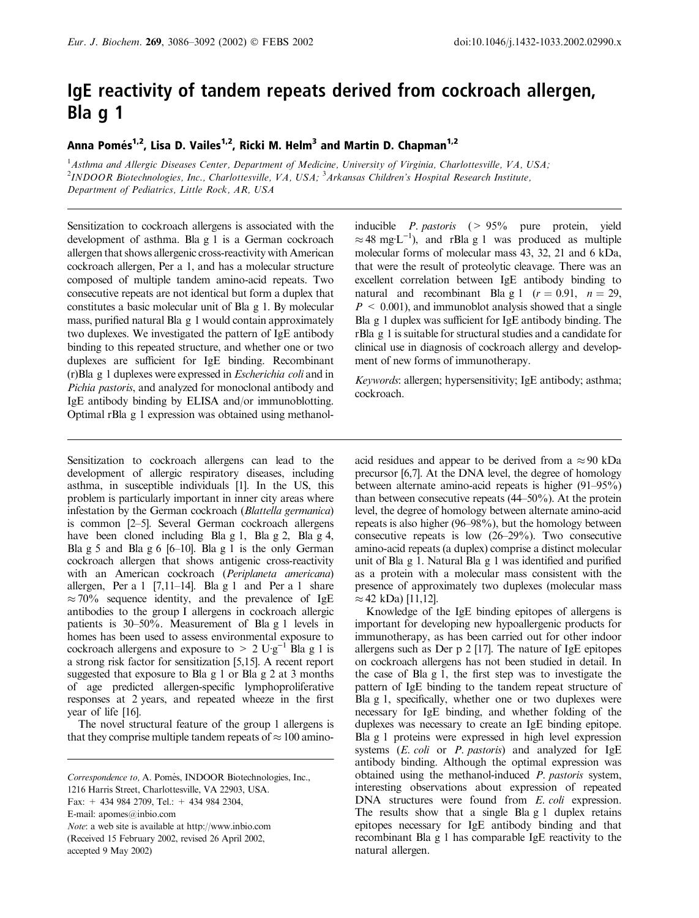# IgE reactivity of tandem repeats derived from cockroach allergen, Bla g 1

Anna Pomés<sup>1,2</sup>, Lisa D. Vailes<sup>1,2</sup>, Ricki M. Helm<sup>3</sup> and Martin D. Chapman<sup>1,2</sup>

<sup>1</sup> Asthma and Allergic Diseases Center, Department of Medicine, University of Virginia, Charlottesville, VA, USA; <sup>2</sup>INDOOR Biotechnologies, Inc., Charlottesville, VA, USA; <sup>3</sup>Arkansas Children's Hospital Research Institute, Department of Pediatrics, Little Rock, AR, USA

Sensitization to cockroach allergens is associated with the development of asthma. Bla g 1 is a German cockroach allergen that shows allergenic cross-reactivity with American cockroach allergen, Per a 1, and has a molecular structure composed of multiple tandem amino-acid repeats. Two consecutive repeats are not identical but form a duplex that constitutes a basic molecular unit of Bla g 1. By molecular mass, purified natural Bla g 1 would contain approximately two duplexes. We investigated the pattern of IgE antibody binding to this repeated structure, and whether one or two duplexes are sufficient for IgE binding. Recombinant (r)Bla g 1 duplexes were expressed in Escherichia coli and in Pichia pastoris, and analyzed for monoclonal antibody and IgE antibody binding by ELISA and/or immunoblotting. Optimal rBla g 1 expression was obtained using methanol-

Sensitization to cockroach allergens can lead to the development of allergic respiratory diseases, including asthma, in susceptible individuals [1]. In the US, this problem is particularly important in inner city areas where infestation by the German cockroach (Blattella germanica) is common [2–5]. Several German cockroach allergens have been cloned including Bla g 1, Bla g 2, Bla g 4, Bla g 5 and Bla g 6 [6–10]. Bla g 1 is the only German cockroach allergen that shows antigenic cross-reactivity with an American cockroach (Periplaneta americana) allergen, Per a 1  $[7,11-14]$ . Bla g 1 and Per a 1 share  $\approx$  70% sequence identity, and the prevalence of IgE antibodies to the group I allergens in cockroach allergic patients is 30–50%. Measurement of Bla g 1 levels in homes has been used to assess environmental exposure to cockroach allergens and exposure to  $> 2 \text{U-g}^{-1}$  Bla g 1 is a strong risk factor for sensitization [5,15]. A recent report suggested that exposure to Bla g 1 or Bla g 2 at 3 months of age predicted allergen-specific lymphoproliferative responses at 2 years, and repeated wheeze in the first year of life [16].

The novel structural feature of the group 1 allergens is that they comprise multiple tandem repeats of  $\approx 100$  amino-

inducible P. pastoris (> 95% pure protein, yield  $\approx$  48 mg·L<sup>-1</sup>), and rBla g 1 was produced as multiple molecular forms of molecular mass 43, 32, 21 and 6 kDa, that were the result of proteolytic cleavage. There was an excellent correlation between IgE antibody binding to natural and recombinant Bla g 1 ( $r = 0.91$ ,  $n = 29$ ,  $P \leq 0.001$ , and immunoblot analysis showed that a single Bla g 1 duplex was sufficient for IgE antibody binding. The rBla g 1 is suitable for structural studies and a candidate for clinical use in diagnosis of cockroach allergy and development of new forms of immunotherapy.

Keywords: allergen; hypersensitivity; IgE antibody; asthma; cockroach.

acid residues and appear to be derived from a  $\approx 90$  kDa precursor [6,7]. At the DNA level, the degree of homology between alternate amino-acid repeats is higher (91–95%) than between consecutive repeats (44–50%). At the protein level, the degree of homology between alternate amino-acid repeats is also higher (96–98%), but the homology between consecutive repeats is low (26–29%). Two consecutive amino-acid repeats (a duplex) comprise a distinct molecular unit of Bla g 1. Natural Bla g 1 was identified and purified as a protein with a molecular mass consistent with the presence of approximately two duplexes (molecular mass  $\approx$  42 kDa) [11,12].

Knowledge of the IgE binding epitopes of allergens is important for developing new hypoallergenic products for immunotherapy, as has been carried out for other indoor allergens such as Der p 2 [17]. The nature of IgE epitopes on cockroach allergens has not been studied in detail. In the case of Bla g 1, the first step was to investigate the pattern of IgE binding to the tandem repeat structure of Bla g 1, specifically, whether one or two duplexes were necessary for IgE binding, and whether folding of the duplexes was necessary to create an IgE binding epitope. Bla g 1 proteins were expressed in high level expression systems  $(E. \text{ coli}$  or  $P. \text{ pastoris}$  and analyzed for IgE antibody binding. Although the optimal expression was obtained using the methanol-induced P. pastoris system, interesting observations about expression of repeated DNA structures were found from E. coli expression. The results show that a single Bla g 1 duplex retains epitopes necessary for IgE antibody binding and that recombinant Bla g 1 has comparable IgE reactivity to the natural allergen.

Correspondence to, A. Pomés, INDOOR Biotechnologies, Inc.,

<sup>1216</sup> Harris Street, Charlottesville, VA 22903, USA.

Fax: + 434 984 2709, Tel.: + 434 984 2304,

E-mail: apomes@inbio.com

Note: a web site is available at http://www.inbio.com (Received 15 February 2002, revised 26 April 2002,

accepted 9 May 2002)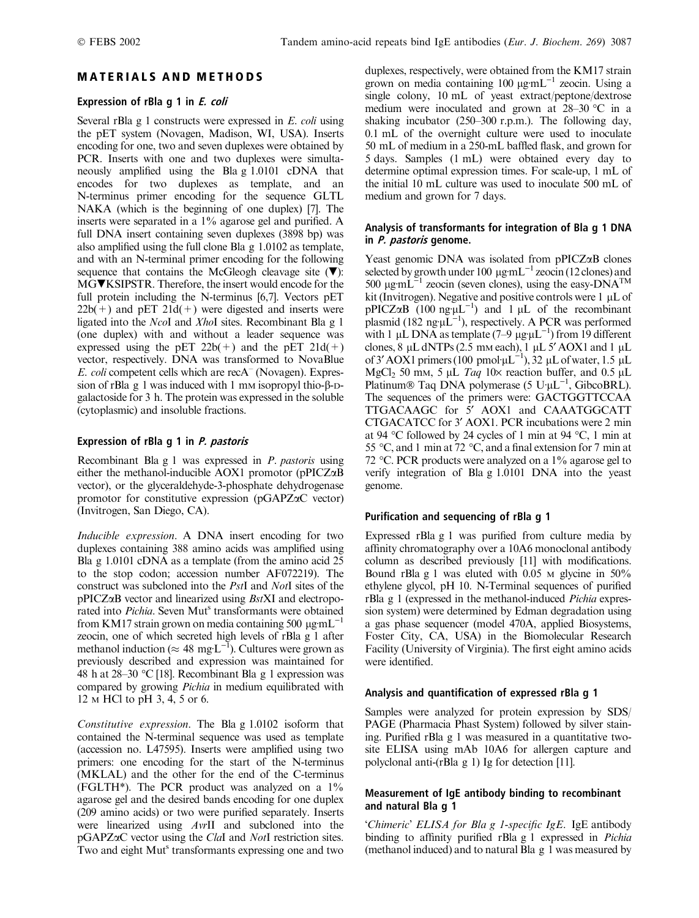# MATERIALS AND METHODS

## Expression of rBla g 1 in E. coli

Several rBla g 1 constructs were expressed in E. coli using the pET system (Novagen, Madison, WI, USA). Inserts encoding for one, two and seven duplexes were obtained by PCR. Inserts with one and two duplexes were simultaneously amplified using the Bla g 1.0101 cDNA that encodes for two duplexes as template, and an N-terminus primer encoding for the sequence GLTL NAKA (which is the beginning of one duplex) [7]. The inserts were separated in a 1% agarose gel and purified. A full DNA insert containing seven duplexes (3898 bp) was also amplified using the full clone Bla g 1.0102 as template, and with an N-terminal primer encoding for the following sequence that contains the McGleogh cleavage site  $(\nabla)$ : MG**V**KSIPSTR. Therefore, the insert would encode for the full protein including the N-terminus [6,7]. Vectors pET  $22b(+)$  and pET  $21d(+)$  were digested and inserts were ligated into the NcoI and XhoI sites. Recombinant Bla g 1 (one duplex) with and without a leader sequence was expressed using the pET  $22b(+)$  and the pET  $21d(+)$ vector, respectively. DNA was transformed to NovaBlue  $E.$  coli competent cells which are recA<sup> $-$ </sup> (Novagen). Expression of rBla g 1 was induced with 1 mm isopropyl thio- $\beta$ -Dgalactoside for 3 h. The protein was expressed in the soluble (cytoplasmic) and insoluble fractions.

# Expression of rBla g 1 in P. pastoris

Recombinant Bla g 1 was expressed in P. pastoris using either the methanol-inducible AOX1 promotor (pPICZaB vector), or the glyceraldehyde-3-phosphate dehydrogenase promotor for constitutive expression (pGAPZaC vector) (Invitrogen, San Diego, CA).

Inducible expression. A DNA insert encoding for two duplexes containing 388 amino acids was amplified using Bla g 1.0101 cDNA as a template (from the amino acid 25 to the stop codon; accession number AF072219). The construct was subcloned into the PstI and NotI sites of the  $pPICZ\alpha B$  vector and linearized using  $BstXI$  and electroporated into *Pichia*. Seven Mut<sup>s</sup> transformants were obtained from KM17 strain grown on media containing 500  $\mu$ g·mL<sup>-</sup> zeocin, one of which secreted high levels of rBla g 1 after methanol induction ( $\approx 48 \text{ mg} \cdot \text{L}^{-1}$ ). Cultures were grown as previously described and expression was maintained for 48 h at 28–30 °C [18]. Recombinant Bla g 1 expression was compared by growing Pichia in medium equilibrated with 12 M HCl to pH 3, 4, 5 or 6.

Constitutive expression. The Bla g 1.0102 isoform that contained the N-terminal sequence was used as template (accession no. L47595). Inserts were amplified using two primers: one encoding for the start of the N-terminus (MKLAL) and the other for the end of the C-terminus (FGLTH\*). The PCR product was analyzed on a 1% agarose gel and the desired bands encoding for one duplex (209 amino acids) or two were purified separately. Inserts were linearized using AvrII and subcloned into the pGAPZaC vector using the ClaI and NotI restriction sites. Two and eight Mut<sup>s</sup> transformants expressing one and two

duplexes, respectively, were obtained from the KM17 strain grown on media containing 100  $\mu$ g·mL<sup>-1</sup> zeocin. Using a single colony, 10 mL of yeast extract/peptone/dextrose medium were inoculated and grown at  $28-30$  °C in a shaking incubator (250–300 r.p.m.). The following day, 0.1 mL of the overnight culture were used to inoculate 50 mL of medium in a 250-mL baffled flask, and grown for 5 days. Samples (1 mL) were obtained every day to determine optimal expression times. For scale-up, 1 mL of the initial 10 mL culture was used to inoculate 500 mL of medium and grown for 7 days.

## Analysis of transformants for integration of Bla g 1 DNA in P. pastoris genome.

Yeast genomic DNA was isolated from  $pPICZ\alpha B$  clones selected by growth under 100  $\mu$ g·mL<sup>-1</sup> zeocin (12 clones) and 500  $\mu$ g·mL<sup>-1</sup> zeocin (seven clones), using the easy-DNA<sup>TM</sup> kit (Invitrogen). Negative and positive controls were  $1 \mu L$  of  $pPICZ\alpha B$  (100 ng  $\mu L^{-1}$ ) and 1  $\mu L$  of the recombinant plasmid (182 ng  $\mu L^{-1}$ ), respectively. A PCR was performed with 1 µL DNA as template (7–9 µg·µL<sup>-1</sup>) from 19 different clones,  $8 \mu L$  dNTPs (2.5 mm each), 1  $\mu$ L 5' AOX1 and 1  $\mu$ L of 3' AOX1 primers (100 pmol· $\mu L^{-1}$ ), 32  $\mu L$  of water, 1.5  $\mu L$ MgCl<sub>2</sub> 50 mm, 5  $\mu$ L Taq 10× reaction buffer, and 0.5  $\mu$ L Platinum® Taq DNA polymerase (5  $U \mu L^{-1}$ , GibcoBRL). The sequences of the primers were: GACTGGTTCCAA TTGACAAGC for 5' AOX1 and CAAATGGCATT CTGACATCC for 3¢ AOX1. PCR incubations were 2 min at 94 °C followed by 24 cycles of 1 min at 94 °C, 1 min at 55 °C, and 1 min at 72 °C, and a final extension for 7 min at 72 °C. PCR products were analyzed on a 1% agarose gel to verify integration of Bla g 1.0101 DNA into the yeast genome.

## Purification and sequencing of rBla g 1

Expressed rBla g 1 was purified from culture media by affinity chromatography over a 10A6 monoclonal antibody column as described previously [11] with modifications. Bound rBla g 1 was eluted with  $0.05$  M glycine in  $50\%$ ethylene glycol, pH 10. N-Terminal sequences of purified rBla g 1 (expressed in the methanol-induced Pichia expression system) were determined by Edman degradation using a gas phase sequencer (model 470A, applied Biosystems, Foster City, CA, USA) in the Biomolecular Research Facility (University of Virginia). The first eight amino acids were identified.

## Analysis and quantification of expressed rBla g 1

Samples were analyzed for protein expression by SDS/ PAGE (Pharmacia Phast System) followed by silver staining. Purified rBla g 1 was measured in a quantitative twosite ELISA using mAb 10A6 for allergen capture and polyclonal anti-(rBla g 1) Ig for detection [11].

## Measurement of IgE antibody binding to recombinant and natural Bla g 1

'Chimeric' ELISA for Bla g 1-specific IgE. IgE antibody binding to affinity purified rBla g 1 expressed in Pichia (methanol induced) and to natural Bla g 1 was measured by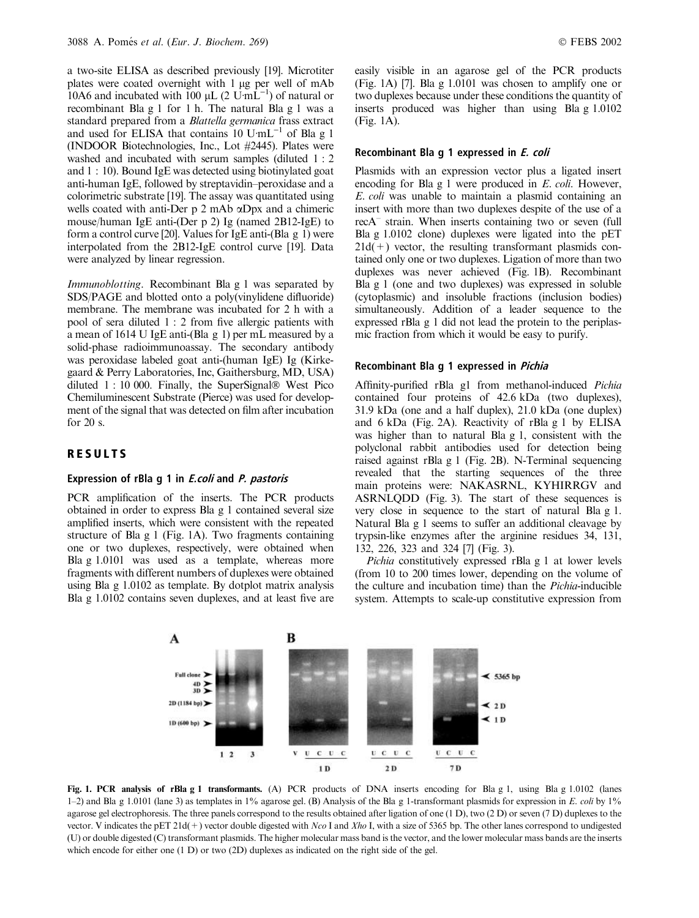a two-site ELISA as described previously [19]. Microtiter plates were coated overnight with 1 µg per well of mAb 10A6 and incubated with 100  $\mu$ L (2 U·mL<sup>-1</sup>) of natural or recombinant Bla g 1 for 1 h. The natural Bla g 1 was a standard prepared from a Blattella germanica frass extract and used for ELISA that contains  $10$  U·mL<sup>-1</sup> of Bla g 1 (INDOOR Biotechnologies, Inc., Lot #2445). Plates were washed and incubated with serum samples (diluted 1 : 2 and 1 : 10). Bound IgE was detected using biotinylated goat anti-human IgE, followed by streptavidin–peroxidase and a colorimetric substrate [19]. The assay was quantitated using wells coated with anti-Der p 2 mAb aDpx and a chimeric mouse/human IgE anti-(Der p 2) Ig (named 2B12-IgE) to form a control curve [20]. Values for IgE anti-(Bla g 1) were interpolated from the 2B12-IgE control curve [19]. Data were analyzed by linear regression.

Immunoblotting. Recombinant Bla g 1 was separated by SDS/PAGE and blotted onto a poly(vinylidene difluoride) membrane. The membrane was incubated for 2 h with a pool of sera diluted 1 : 2 from five allergic patients with a mean of 1614 U IgE anti-(Bla g 1) per mL measured by a solid-phase radioimmunoassay. The secondary antibody was peroxidase labeled goat anti-(human IgE) Ig (Kirkegaard & Perry Laboratories, Inc, Gaithersburg, MD, USA) diluted  $1: 10000$ . Finally, the SuperSignal<sup>®</sup> West Pico Chemiluminescent Substrate (Pierce) was used for development of the signal that was detected on film after incubation for 20 s.

## RESULTS

#### Expression of rBla g 1 in E.coli and P. pastoris

PCR amplification of the inserts. The PCR products obtained in order to express Bla g 1 contained several size amplified inserts, which were consistent with the repeated structure of Bla g 1 (Fig. 1A). Two fragments containing one or two duplexes, respectively, were obtained when Bla g 1.0101 was used as a template, whereas more fragments with different numbers of duplexes were obtained using Bla g 1.0102 as template. By dotplot matrix analysis Bla g 1.0102 contains seven duplexes, and at least five are easily visible in an agarose gel of the PCR products (Fig. 1A) [7]. Bla g 1.0101 was chosen to amplify one or two duplexes because under these conditions the quantity of inserts produced was higher than using Bla g 1.0102 (Fig. 1A).

#### Recombinant Bla g 1 expressed in E. coli

Plasmids with an expression vector plus a ligated insert encoding for Bla g 1 were produced in E. coli. However, E. coli was unable to maintain a plasmid containing an insert with more than two duplexes despite of the use of a recA– strain. When inserts containing two or seven (full Bla g 1.0102 clone) duplexes were ligated into the pET  $21d(+)$  vector, the resulting transformant plasmids contained only one or two duplexes. Ligation of more than two duplexes was never achieved (Fig. 1B). Recombinant Bla g 1 (one and two duplexes) was expressed in soluble (cytoplasmic) and insoluble fractions (inclusion bodies) simultaneously. Addition of a leader sequence to the expressed rBla g 1 did not lead the protein to the periplasmic fraction from which it would be easy to purify.

#### Recombinant Bla g 1 expressed in Pichia

Affinity-purified rBla g1 from methanol-induced Pichia contained four proteins of 42.6 kDa (two duplexes), 31.9 kDa (one and a half duplex), 21.0 kDa (one duplex) and 6 kDa (Fig. 2A). Reactivity of rBla g 1 by ELISA was higher than to natural Bla g 1, consistent with the polyclonal rabbit antibodies used for detection being raised against rBla g 1 (Fig. 2B). N-Terminal sequencing revealed that the starting sequences of the three main proteins were: NAKASRNL, KYHIRRGV and ASRNLQDD (Fig. 3). The start of these sequences is very close in sequence to the start of natural Bla g 1. Natural Bla g 1 seems to suffer an additional cleavage by trypsin-like enzymes after the arginine residues 34, 131, 132, 226, 323 and 324 [7] (Fig. 3).

Pichia constitutively expressed rBla g 1 at lower levels (from 10 to 200 times lower, depending on the volume of the culture and incubation time) than the Pichia-inducible system. Attempts to scale-up constitutive expression from



Fig. 1. PCR analysis of rBla g 1 transformants. (A) PCR products of DNA inserts encoding for Bla g 1, using Bla g 1.0102 (lanes 1–2) and Bla g 1.0101 (lane 3) as templates in 1% agarose gel. (B) Analysis of the Bla g 1-transformant plasmids for expression in E. coli by 1% agarose gel electrophoresis. The three panels correspond to the results obtained after ligation of one (1 D), two (2 D) or seven (7 D) duplexes to the vector. V indicates the pET 21d(+) vector double digested with Nco I and Xho I, with a size of 5365 bp. The other lanes correspond to undigested (U) or double digested (C) transformant plasmids. The higher molecular mass band is the vector, and the lower molecular mass bands are the inserts which encode for either one (1 D) or two (2D) duplexes as indicated on the right side of the gel.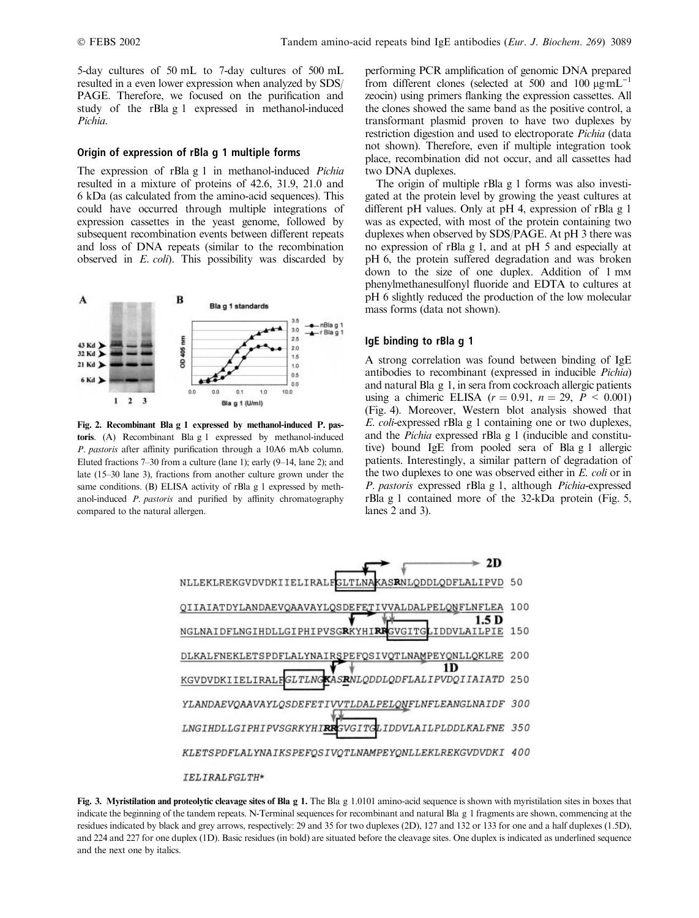5-day cultures of 50 mL to 7-day cultures of 500 mL resulted in a even lower expression when analyzed by SDS/ PAGE. Therefore, we focused on the purification and study of the rBla g 1 expressed in methanol-induced Pichia.

#### Origin of expression of rBla g 1 multiple forms

The expression of rBla g 1 in methanol-induced Pichia resulted in a mixture of proteins of 42.6, 31.9, 21.0 and 6 kDa (as calculated from the amino-acid sequences). This could have occurred through multiple integrations of expression cassettes in the yeast genome, followed by subsequent recombination events between different repeats and loss of DNA repeats (similar to the recombination observed in E. coli). This possibility was discarded by



Fig. 2. Recombinant Bla g 1 expressed by methanol-induced P. pastoris. (A) Recombinant Bla g 1 expressed by methanol-induced P. pastoris after affinity purification through a 10A6 mAb column. Eluted fractions 7–30 from a culture (lane 1); early (9–14, lane 2); and late (15–30 lane 3), fractions from another culture grown under the same conditions. (B) ELISA activity of rBla g 1 expressed by methanol-induced P. pastoris and purified by affinity chromatography compared to the natural allergen.

performing PCR amplification of genomic DNA prepared from different clones (selected at 500 and 100  $\mu$ g·mL<sup>-1</sup> zeocin) using primers flanking the expression cassettes. All the clones showed the same band as the positive control, a transformant plasmid proven to have two duplexes by restriction digestion and used to electroporate Pichia (data not shown). Therefore, even if multiple integration took place, recombination did not occur, and all cassettes had two DNA duplexes.

The origin of multiple rBla g 1 forms was also investigated at the protein level by growing the yeast cultures at different pH values. Only at pH 4, expression of rBla g 1 was as expected, with most of the protein containing two duplexes when observed by SDS/PAGE. At pH 3 there was no expression of rBla g 1, and at pH 5 and especially at pH 6, the protein suffered degradation and was broken down to the size of one duplex. Addition of 1 mm phenylmethanesulfonyl fluoride and EDTA to cultures at pH 6 slightly reduced the production of the low molecular mass forms (data not shown).

#### IgE binding to rBla g 1

A strong correlation was found between binding of IgE antibodies to recombinant (expressed in inducible Pichia) and natural Bla g 1, in sera from cockroach allergic patients using a chimeric ELISA  $(r = 0.91, n = 29, P < 0.001)$ (Fig. 4). Moreover, Western blot analysis showed that E. coli-expressed rBla g 1 containing one or two duplexes, and the Pichia expressed rBla g 1 (inducible and constitutive) bound IgE from pooled sera of Bla g 1 allergic patients. Interestingly, a similar pattern of degradation of the two duplexes to one was observed either in E. coli or in P. pastoris expressed rBla g 1, although Pichia-expressed rBla g 1 contained more of the 32-kDa protein (Fig. 5, lanes 2 and 3).



Fig. 3. Myristilation and proteolytic cleavage sites of Bla g 1. The Bla g 1.0101 amino-acid sequence is shown with myristilation sites in boxes that indicate the beginning of the tandem repeats. N-Terminal sequences for recombinant and natural Bla g 1 fragments are shown, commencing at the residues indicated by black and grey arrows, respectively: 29 and 35 for two duplexes (2D), 127 and 132 or 133 for one and a half duplexes (1.5D), and 224 and 227 for one duplex (1D). Basic residues (in bold) are situated before the cleavage sites. One duplex is indicated as underlined sequence and the next one by italics.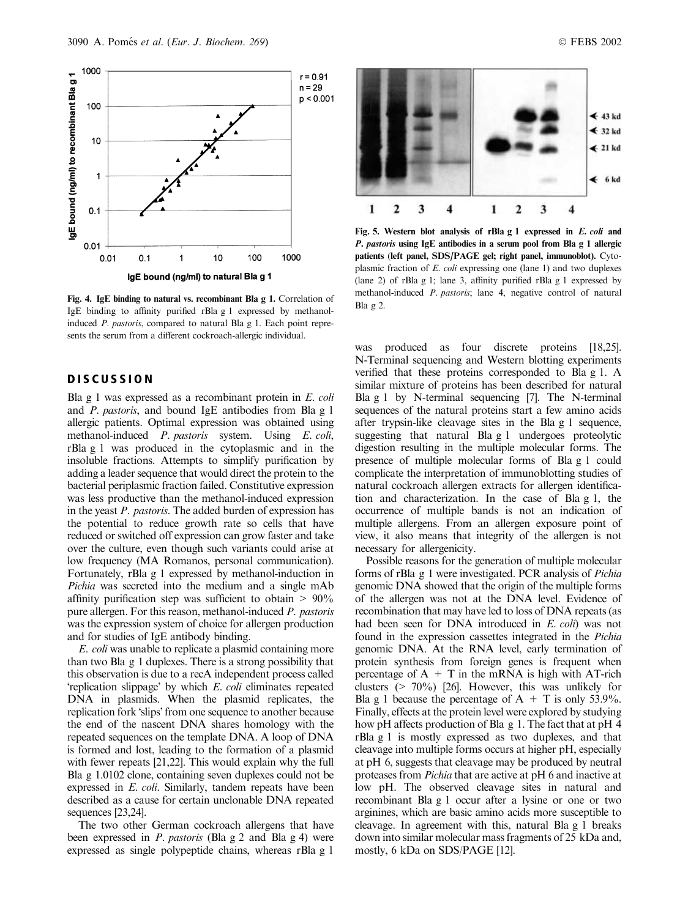

Fig. 4. IgE binding to natural vs. recombinant Bla g 1. Correlation of IgE binding to affinity purified rBla g 1 expressed by methanolinduced P. pastoris, compared to natural Bla g 1. Each point represents the serum from a different cockroach-allergic individual.

## DISCUSSION

Bla g 1 was expressed as a recombinant protein in  $E$ . *coli* and P. pastoris, and bound IgE antibodies from Bla g 1 allergic patients. Optimal expression was obtained using methanol-induced P. pastoris system. Using E. coli, rBla g 1 was produced in the cytoplasmic and in the insoluble fractions. Attempts to simplify purification by adding a leader sequence that would direct the protein to the bacterial periplasmic fraction failed. Constitutive expression was less productive than the methanol-induced expression in the yeast P. pastoris. The added burden of expression has the potential to reduce growth rate so cells that have reduced or switched off expression can grow faster and take over the culture, even though such variants could arise at low frequency (MA Romanos, personal communication). Fortunately, rBla g 1 expressed by methanol-induction in Pichia was secreted into the medium and a single mAb affinity purification step was sufficient to obtain  $> 90\%$ pure allergen. For this reason, methanol-induced P. pastoris was the expression system of choice for allergen production and for studies of IgE antibody binding.

E. coli was unable to replicate a plasmid containing more than two Bla g 1 duplexes. There is a strong possibility that this observation is due to a recA independent process called 'replication slippage' by which E. coli eliminates repeated DNA in plasmids. When the plasmid replicates, the replication fork 'slips' from one sequence to another because the end of the nascent DNA shares homology with the repeated sequences on the template DNA. A loop of DNA is formed and lost, leading to the formation of a plasmid with fewer repeats [21,22]. This would explain why the full Bla g 1.0102 clone, containing seven duplexes could not be expressed in E. coli. Similarly, tandem repeats have been described as a cause for certain unclonable DNA repeated sequences [23,24].

The two other German cockroach allergens that have been expressed in P. pastoris (Bla g 2 and Bla g 4) were expressed as single polypeptide chains, whereas rBla g 1



Fig. 5. Western blot analysis of rBla g 1 expressed in E. coli and P. pastoris using IgE antibodies in a serum pool from Bla g 1 allergic patients (left panel, SDS/PAGE gel; right panel, immunoblot). Cytoplasmic fraction of E. coli expressing one (lane 1) and two duplexes (lane 2) of rBla g 1; lane 3, affinity purified rBla g 1 expressed by methanol-induced P. pastoris; lane 4, negative control of natural Bla g 2.

was produced as four discrete proteins [18,25]. N-Terminal sequencing and Western blotting experiments verified that these proteins corresponded to Bla g 1. A similar mixture of proteins has been described for natural Bla g 1 by N-terminal sequencing [7]. The N-terminal sequences of the natural proteins start a few amino acids after trypsin-like cleavage sites in the Bla g 1 sequence, suggesting that natural Bla g 1 undergoes proteolytic digestion resulting in the multiple molecular forms. The presence of multiple molecular forms of Bla g 1 could complicate the interpretation of immunoblotting studies of natural cockroach allergen extracts for allergen identification and characterization. In the case of Bla g 1, the occurrence of multiple bands is not an indication of multiple allergens. From an allergen exposure point of view, it also means that integrity of the allergen is not necessary for allergenicity.

Possible reasons for the generation of multiple molecular forms of rBla g 1 were investigated. PCR analysis of Pichia genomic DNA showed that the origin of the multiple forms of the allergen was not at the DNA level. Evidence of recombination that may have led to loss of DNA repeats (as had been seen for DNA introduced in E. coli) was not found in the expression cassettes integrated in the Pichia genomic DNA. At the RNA level, early termination of protein synthesis from foreign genes is frequent when percentage of  $A + T$  in the mRNA is high with AT-rich clusters (> 70%) [26]. However, this was unlikely for Bla g 1 because the percentage of  $A + T$  is only 53.9%. Finally, effects at the protein level were explored by studying how pH affects production of Bla g 1. The fact that at pH 4 rBla g 1 is mostly expressed as two duplexes, and that cleavage into multiple forms occurs at higher pH, especially at pH 6, suggests that cleavage may be produced by neutral proteases from Pichia that are active at pH 6 and inactive at low pH. The observed cleavage sites in natural and recombinant Bla g 1 occur after a lysine or one or two arginines, which are basic amino acids more susceptible to cleavage. In agreement with this, natural Bla g 1 breaks down into similar molecular mass fragments of 25 kDa and, mostly, 6 kDa on SDS/PAGE [12].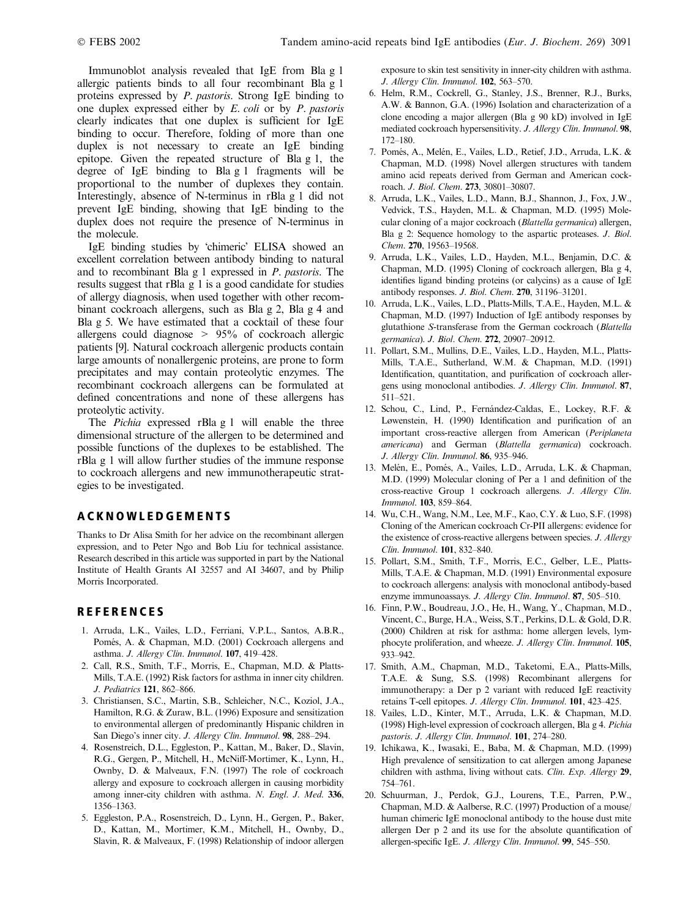Immunoblot analysis revealed that IgE from Bla g 1 allergic patients binds to all four recombinant Bla g 1 proteins expressed by P. pastoris. Strong IgE binding to one duplex expressed either by E. coli or by P. pastoris clearly indicates that one duplex is sufficient for IgE binding to occur. Therefore, folding of more than one duplex is not necessary to create an IgE binding epitope. Given the repeated structure of Bla g 1, the degree of IgE binding to Bla g 1 fragments will be proportional to the number of duplexes they contain. Interestingly, absence of N-terminus in rBla g 1 did not prevent IgE binding, showing that IgE binding to the duplex does not require the presence of N-terminus in the molecule.

IgE binding studies by 'chimeric' ELISA showed an excellent correlation between antibody binding to natural and to recombinant Bla g 1 expressed in P. pastoris. The results suggest that rBla g 1 is a good candidate for studies of allergy diagnosis, when used together with other recombinant cockroach allergens, such as Bla g 2, Bla g 4 and Bla g 5. We have estimated that a cocktail of these four allergens could diagnose > 95% of cockroach allergic patients [9]. Natural cockroach allergenic products contain large amounts of nonallergenic proteins, are prone to form precipitates and may contain proteolytic enzymes. The recombinant cockroach allergens can be formulated at defined concentrations and none of these allergens has proteolytic activity.

The *Pichia* expressed rBla g 1 will enable the three dimensional structure of the allergen to be determined and possible functions of the duplexes to be established. The rBla g 1 will allow further studies of the immune response to cockroach allergens and new immunotherapeutic strategies to be investigated.

## ACKNOWLEDGEMENTS

Thanks to Dr Alisa Smith for her advice on the recombinant allergen expression, and to Peter Ngo and Bob Liu for technical assistance. Research described in this article was supported in part by the National Institute of Health Grants AI 32557 and AI 34607, and by Philip Morris Incorporated.

## **REFERENCES**

- 1. Arruda, L.K., Vailes, L.D., Ferriani, V.P.L., Santos, A.B.R., Pomés, A. & Chapman, M.D. (2001) Cockroach allergens and asthma. J. Allergy Clin. Immunol. 107, 419–428.
- 2. Call, R.S., Smith, T.F., Morris, E., Chapman, M.D. & Platts-Mills, T.A.E. (1992) Risk factors for asthma in inner city children. J. Pediatrics 121, 862–866.
- 3. Christiansen, S.C., Martin, S.B., Schleicher, N.C., Koziol, J.A., Hamilton, R.G. & Zuraw, B.L. (1996) Exposure and sensitization to environmental allergen of predominantly Hispanic children in San Diego's inner city. J. Allergy Clin. Immunol. 98, 288–294.
- 4. Rosenstreich, D.L., Eggleston, P., Kattan, M., Baker, D., Slavin, R.G., Gergen, P., Mitchell, H., McNiff-Mortimer, K., Lynn, H., Ownby, D. & Malveaux, F.N. (1997) The role of cockroach allergy and exposure to cockroach allergen in causing morbidity among inner-city children with asthma. N. Engl. J. Med. 336, 1356–1363.
- 5. Eggleston, P.A., Rosenstreich, D., Lynn, H., Gergen, P., Baker, D., Kattan, M., Mortimer, K.M., Mitchell, H., Ownby, D., Slavin, R. & Malveaux, F. (1998) Relationship of indoor allergen

exposure to skin test sensitivity in inner-city children with asthma. J. Allergy Clin. Immunol. 102, 563–570.

- 6. Helm, R.M., Cockrell, G., Stanley, J.S., Brenner, R.J., Burks, A.W. & Bannon, G.A. (1996) Isolation and characterization of a clone encoding a major allergen (Bla g 90 kD) involved in IgE mediated cockroach hypersensitivity. J. Allergy Clin. Immunol. 98, 172–180.
- 7. Pomés, A., Melén, E., Vailes, L.D., Retief, J.D., Arruda, L.K. & Chapman, M.D. (1998) Novel allergen structures with tandem amino acid repeats derived from German and American cockroach. J. Biol. Chem. 273, 30801–30807.
- 8. Arruda, L.K., Vailes, L.D., Mann, B.J., Shannon, J., Fox, J.W., Vedvick, T.S., Hayden, M.L. & Chapman, M.D. (1995) Molecular cloning of a major cockroach (Blattella germanica) allergen, Bla g 2: Sequence homology to the aspartic proteases. J. Biol. Chem. 270, 19563–19568.
- 9. Arruda, L.K., Vailes, L.D., Hayden, M.L., Benjamin, D.C. & Chapman, M.D. (1995) Cloning of cockroach allergen, Bla g 4, identifies ligand binding proteins (or calycins) as a cause of IgE antibody responses. J. Biol. Chem. 270, 31196–31201.
- 10. Arruda, L.K., Vailes, L.D., Platts-Mills, T.A.E., Hayden, M.L. & Chapman, M.D. (1997) Induction of IgE antibody responses by glutathione S-transferase from the German cockroach (Blattella germanica). J. Biol. Chem. 272, 20907–20912.
- 11. Pollart, S.M., Mullins, D.E., Vailes, L.D., Hayden, M.L., Platts-Mills, T.A.E., Sutherland, W.M. & Chapman, M.D. (1991) Identification, quantitation, and purification of cockroach allergens using monoclonal antibodies. J. Allergy Clin. Immunol. 87, 511–521.
- 12. Schou, C., Lind, P., Fernández-Caldas, E., Lockey, R.F. & Løwenstein, H. (1990) Identification and purification of an important cross-reactive allergen from American (Periplaneta americana) and German (Blattella germanica) cockroach. J. Allergy Clin. Immunol. 86, 935–946.
- 13. Melén, E., Pomés, A., Vailes, L.D., Arruda, L.K. & Chapman, M.D. (1999) Molecular cloning of Per a 1 and definition of the cross-reactive Group 1 cockroach allergens. J. Allergy Clin. Immunol. 103, 859–864.
- 14. Wu, C.H., Wang, N.M., Lee, M.F., Kao, C.Y. & Luo, S.F. (1998) Cloning of the American cockroach Cr-PII allergens: evidence for the existence of cross-reactive allergens between species. J. Allergy Clin. Immunol. 101, 832–840.
- 15. Pollart, S.M., Smith, T.F., Morris, E.C., Gelber, L.E., Platts-Mills, T.A.E. & Chapman, M.D. (1991) Environmental exposure to cockroach allergens: analysis with monoclonal antibody-based enzyme immunoassays. J. Allergy Clin. Immunol. 87, 505-510.
- 16. Finn, P.W., Boudreau, J.O., He, H., Wang, Y., Chapman, M.D., Vincent, C., Burge, H.A., Weiss, S.T., Perkins, D.L. & Gold, D.R. (2000) Children at risk for asthma: home allergen levels, lymphocyte proliferation, and wheeze. J. Allergy Clin. Immunol. 105, 933–942.
- 17. Smith, A.M., Chapman, M.D., Taketomi, E.A., Platts-Mills, T.A.E. & Sung, S.S. (1998) Recombinant allergens for immunotherapy: a Der p 2 variant with reduced IgE reactivity retains T-cell epitopes. J. Allergy Clin. Immunol. 101, 423–425.
- 18. Vailes, L.D., Kinter, M.T., Arruda, L.K. & Chapman, M.D. (1998) High-level expression of cockroach allergen, Bla g 4. Pichia pastoris. J. Allergy Clin. Immunol. 101, 274–280.
- 19. Ichikawa, K., Iwasaki, E., Baba, M. & Chapman, M.D. (1999) High prevalence of sensitization to cat allergen among Japanese children with asthma, living without cats. Clin. Exp. Allergy 29, 754–761.
- 20. Schuurman, J., Perdok, G.J., Lourens, T.E., Parren, P.W., Chapman, M.D. & Aalberse, R.C. (1997) Production of a mouse/ human chimeric IgE monoclonal antibody to the house dust mite allergen Der p 2 and its use for the absolute quantification of allergen-specific IgE. J. Allergy Clin. Immunol. 99, 545–550.